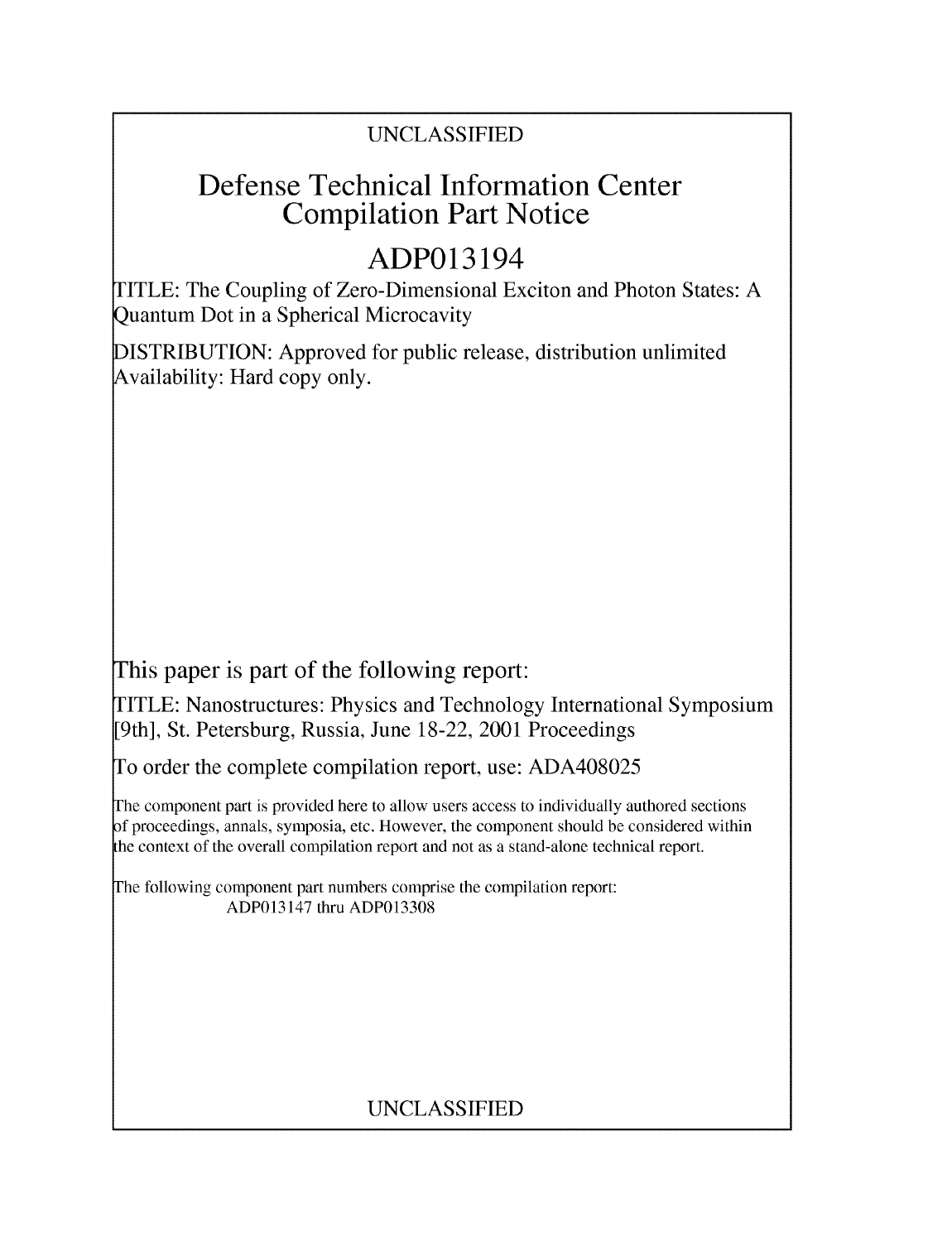## UNCLASSIFIED

## Defense Technical Information Center Compilation Part Notice

# ADP013194

TITLE: The Coupling of Zero-Dimensional Exciton and Photon States: A Quantum Dot in a Spherical Microcavity

DISTRIBUTION: Approved for public release, distribution unlimited Availability: Hard copy only.

This paper is part of the following report:

TITLE: Nanostructures: Physics and Technology International Symposium [9th], St. Petersburg, Russia, June 18-22, 2001 Proceedings

To order the complete compilation report, use: ADA408025

The component part is provided here to allow users access to individually authored sections f proceedings, annals, symposia, etc. However, the component should be considered within the context of the overall compilation report and not as a stand-alone technical report.

The following component part numbers comprise the compilation report: ADP013147 thru ADP013308

## UNCLASSIFIED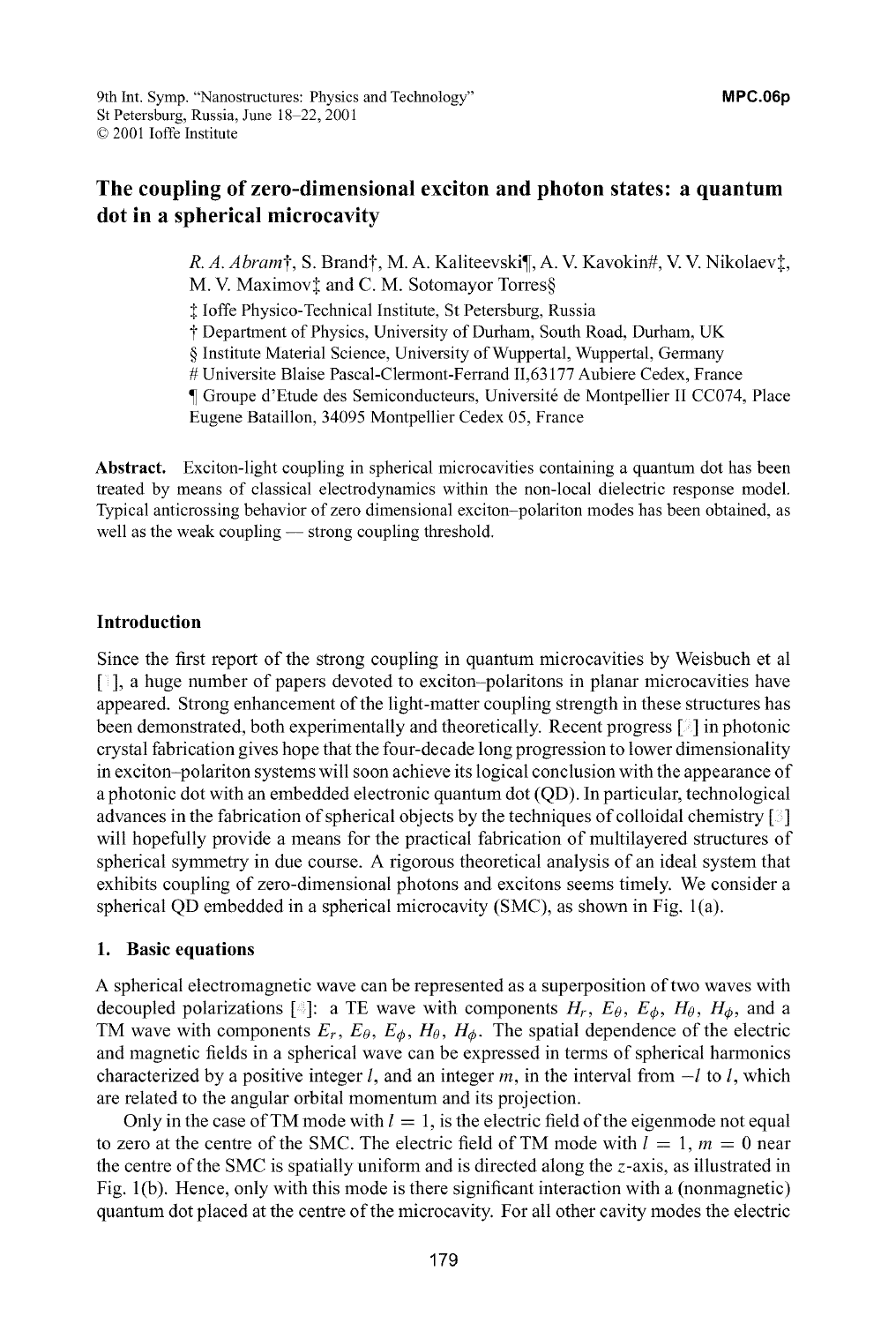*R. A. Abram*†, S. Brand†, M. A. Kaliteevski¶, A. V. Kavokin#, V. V. Nikolaev‡, M. V. Maximov‡ and C. M. Sotomayor Torres§

**I** loffe Physico-Technical Institute, St Petersburg, Russia

t Department of Physics, University of Durham, South Road, Durham, UK

**§** Institute Material Science, University of Wuppertal, Wuppertal, Germany

# Universite Blaise Pascal-Clermont-Ferrand 11,63177 Aubiere Cedex, France

**¶** Groupe d'Etude des Semiconducteurs, Universit& de Montpellier **11** CC074, Place

Eugene Bataillon, 34095 Montpellier Cedex 05, France

Abstract. Exciton-light coupling in spherical microcavities containing a quantum dot has been treated by means of classical electrodynamics within the non-local dielectric response model. Typical anticrossing behavior of zero dimensional exciton-polariton modes has been obtained, as well as the weak coupling — strong coupling threshold.

#### Introduction

Since the first report of the strong coupling in quantum microcavities by Weisbuch et al **[ ],** a huge number of papers devoted to exciton-polaritons in planar microcavities have appeared. Strong enhancement of the light-matter coupling strength in these structures has been demonstrated, both experimentally and theoretically. Recent progress **[]** in photonic crystal fabrication gives hope that the four-decade long progression to lower dimensionality in exciton-polariton systems will soon achieve its logical conclusion with the appearance of a photonic dot with an embedded electronic quantum dot (QD). In particular, technological advances in the fabrication of spherical objects by the techniques of colloidal chemistry **[ ]** will hopefully provide a means for the practical fabrication of multilayered structures of spherical symmetry in due course. A rigorous theoretical analysis of an ideal system that exhibits coupling of zero-dimensional photons and excitons seems timely. We consider a spherical QD embedded in a spherical microcavity (SMC), as shown in Fig. 1(a).

#### 1. Basic equations

A spherical electromagnetic wave can be represented as a superposition of two waves with decoupled polarizations  $[\text{ }][\text{ }][\text{ }]$ : a TE wave with components  $H_r$ ,  $E_\theta$ ,  $E_\phi$ ,  $H_\theta$ ,  $H_\phi$ , and a TM wave with components  $E_r$ ,  $E_\theta$ ,  $E_\phi$ ,  $H_\theta$ ,  $H_\phi$ . The spatial dependence of the electric and magnetic fields in a spherical wave can be expressed in terms of spherical harmonics characterized by a positive integer *l*, and an integer *m*, in the interval from  $-l$  to *l*, which are related to the angular orbital momentum and its projection.

Only in the case of TM mode with  $l = 1$ , is the electric field of the eigenmode not equal to zero at the centre of the SMC. The electric field of TM mode with  $l = 1$ ,  $m = 0$  near the centre of the SMC is spatially uniform and is directed along the z-axis, as illustrated in Fig. 1(b). Hence, only with this mode is there significant interaction with a (nonmagnetic) quantum dot placed at the centre of the microcavity. For all other cavity modes the electric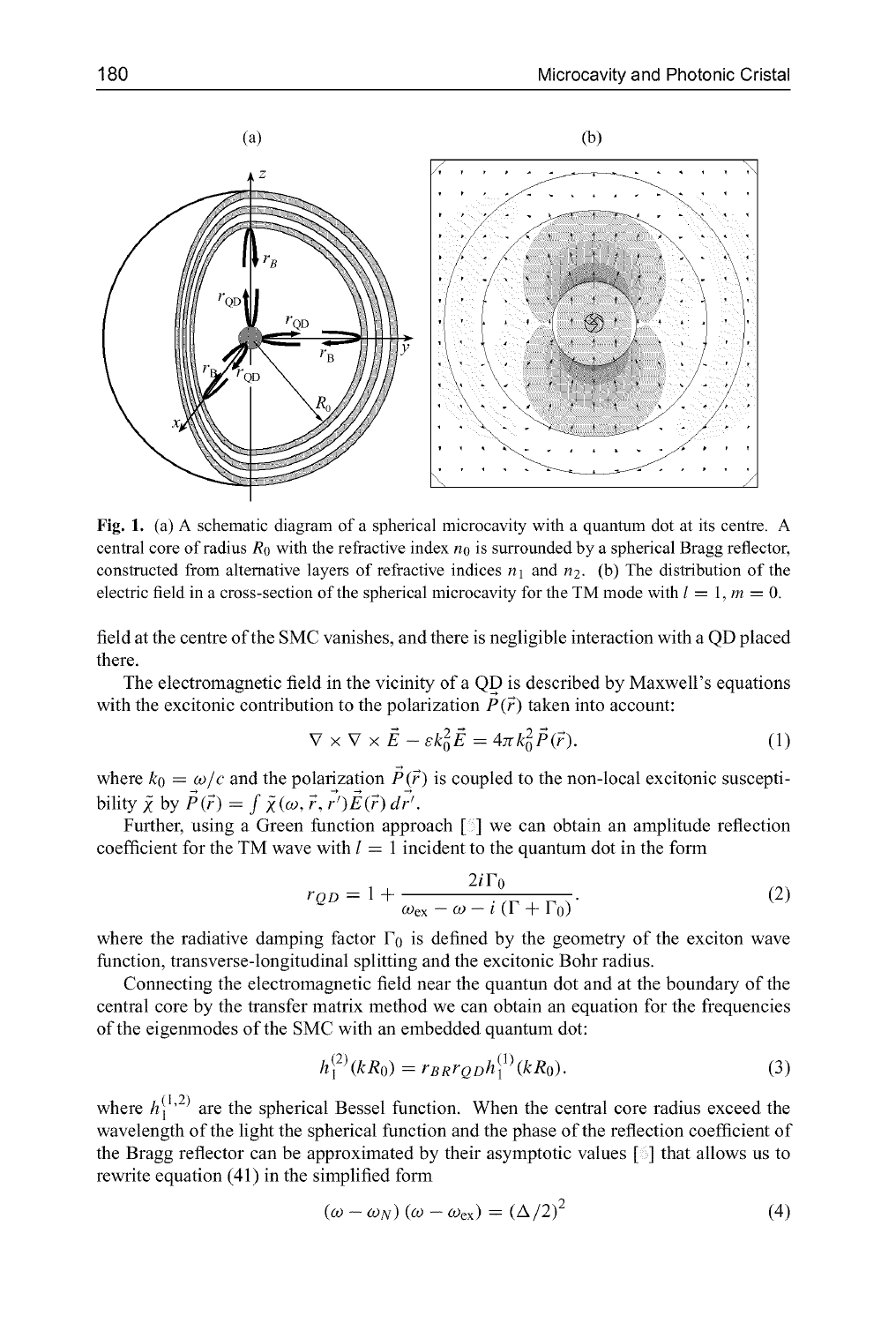

Fig. 1. (a) A schematic diagram of a spherical microcavity with a quantum dot at its centre. A central core of radius  $R_0$  with the refractive index  $n_0$  is surrounded by a spherical Bragg reflector, constructed from alternative layers of refractive indices  $n_1$  and  $n_2$ . (b) The distribution of the electric field in a cross-section of the spherical microcavity for the TM mode with  $l = 1, m = 0$ .

field at the centre of the SMC vanishes, and there is negligible interaction with a QD placed there.

The electromagnetic field in the vicinity of a QD is described by Maxwell's equations with the excitonic contribution to the polarization  $\vec{P}(\vec{r})$  taken into account:

$$
\nabla \times \nabla \times \vec{E} - \varepsilon k_0^2 \vec{E} = 4\pi k_0^2 \vec{P}(\vec{r}).
$$
\n(1)

where  $k_0 = \omega/c$  and the polarization  $\vec{P}(\vec{r})$  is coupled to the non-local excitonic susceptibility  $\tilde{\chi}$  by  $\vec{P}(\vec{r}) = \int \tilde{\chi}(\omega, \vec{r}, \vec{r'}) \vec{E}(\vec{r}) d\vec{r'}$ .

Further, using a Green function approach  $\lceil \frac{5}{3} \rceil$  we can obtain an amplitude reflection coefficient for the TM wave with  $l = 1$  incident to the quantum dot in the form

$$
r_{QD} = 1 + \frac{2i\Gamma_0}{\omega_{\text{ex}} - \omega - i(\Gamma + \Gamma_0)}.\tag{2}
$$

where the radiative damping factor  $\Gamma_0$  is defined by the geometry of the exciton wave function, transverse-longitudinal splitting and the excitonic Bohr radius.

Connecting the electromagnetic field near the quantun dot and at the boundary of the central core by the transfer matrix method we can obtain an equation for the frequencies of the eigenmodes of the SMC with an embedded quantum dot:

$$
h_1^{(2)}(kR_0) = r_{BR}r_{QD}h_1^{(1)}(kR_0).
$$
 (3)

where  $h_1^{(1,2)}$  are the spherical Bessel function. When the central core radius exceed the wavelength of the light the spherical function and the phase of the reflection coefficient of the Bragg reflector can be approximated by their asymptotic values  $[\hat{\circ}]$  that allows us to rewrite equation (41) in the simplified form

$$
(\omega - \omega_N) (\omega - \omega_{\rm ex}) = (\Delta/2)^2 \tag{4}
$$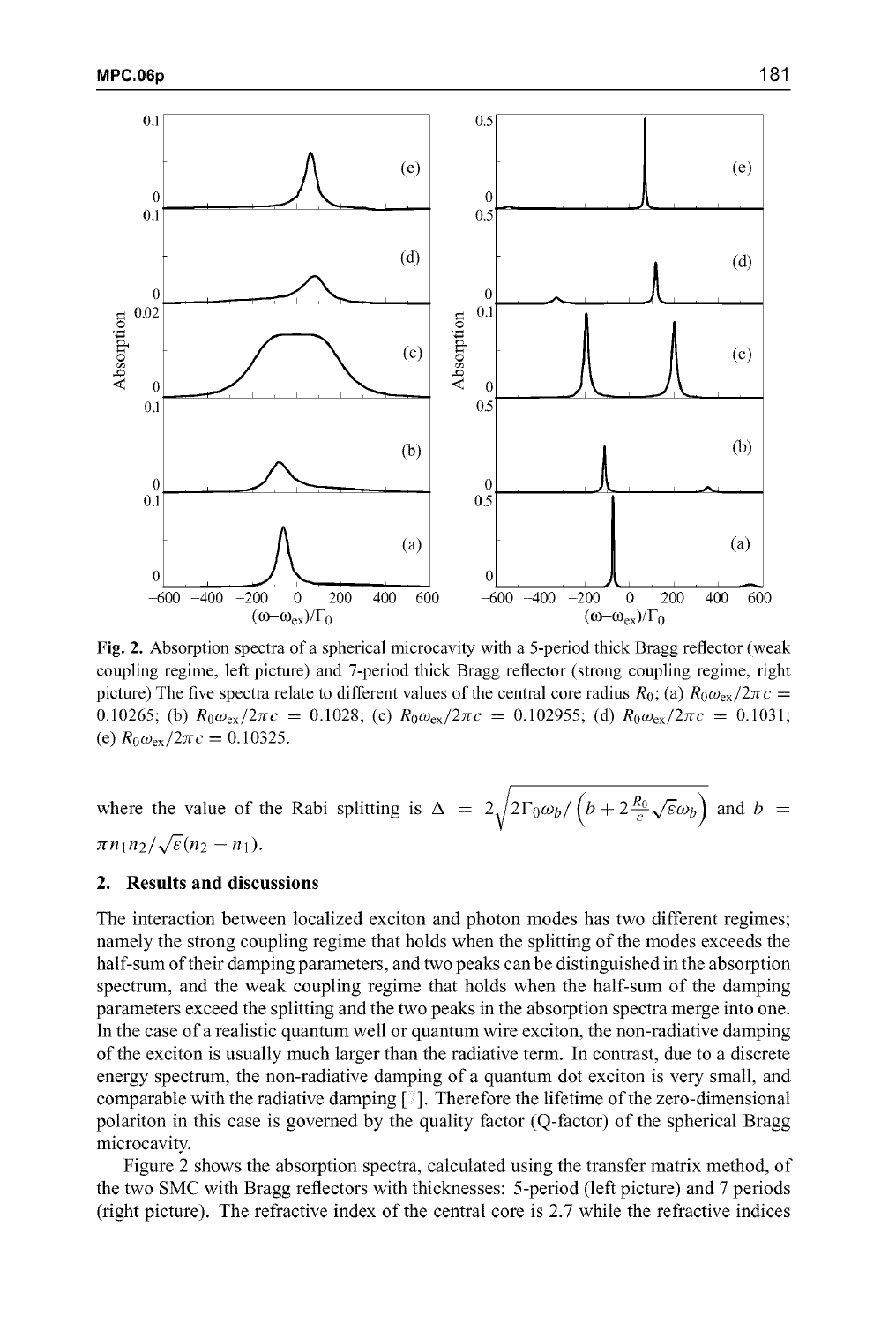

Fig. 2. Absorption spectra of a spherical microcavity with a 5-period thick Bragg reflector (weak coupling regime, left picture) and 7-period thick Bragg reflector (strong coupling regime, right picture) The five spectra relate to different values of the central core radius  $R_0$ ; (a)  $R_0\omega_{\text{ex}}/2\pi c =$ 0.10265; (b)  $R_0 \omega_{\text{ex}}/2\pi c = 0.1028$ ; (c)  $R_0 \omega_{\text{ex}}/2\pi c = 0.102955$ ; (d)  $R_0 \omega_{\text{ex}}/2\pi c = 0.1031$ ; (e)  $R_0 \omega_{\text{ex}} / 2\pi c = 0.10325$ .

where the value of the Rabi splitting is  $\Delta = 2\sqrt{2\Gamma_0\omega_b/\left(b+2\frac{R_0}{c}\sqrt{\epsilon}\omega_b\right)}$  and  $b =$  $\pi n_1 n_2 / \sqrt{\varepsilon} (n_2 - n_1)$ .

#### 2. Results and discussions

The interaction between localized exciton and photon modes has two different regimes; namely the strong coupling regime that holds when the splitting of the modes exceeds the half-sum of their damping parameters, and two peaks can be distinguished in the absorption spectrum, and the weak coupling regime that holds when the half-sum of the damping parameters exceed the splitting and the two peaks in the absorption spectra merge into one. In the case of a realistic quantum well or quantum wire exciton, the non-radiative damping of the exciton is usually much larger than the radiative term. In contrast, due to a discrete energy spectrum, the non-radiative damping of a quantum dot exciton is very small, and comparable with the radiative damping **[ ].** Therefore the lifetime of the zero-dimensional polariton in this case is governed by the quality factor (Q-factor) of the spherical Bragg microcavity.

Figure 2 shows the absorption spectra, calculated using the transfer matrix method, of the two SMC with Bragg reflectors with thicknesses: 5-period (left picture) and 7 periods (right picture). The refractive index of the central core is 2.7 while the refractive indices